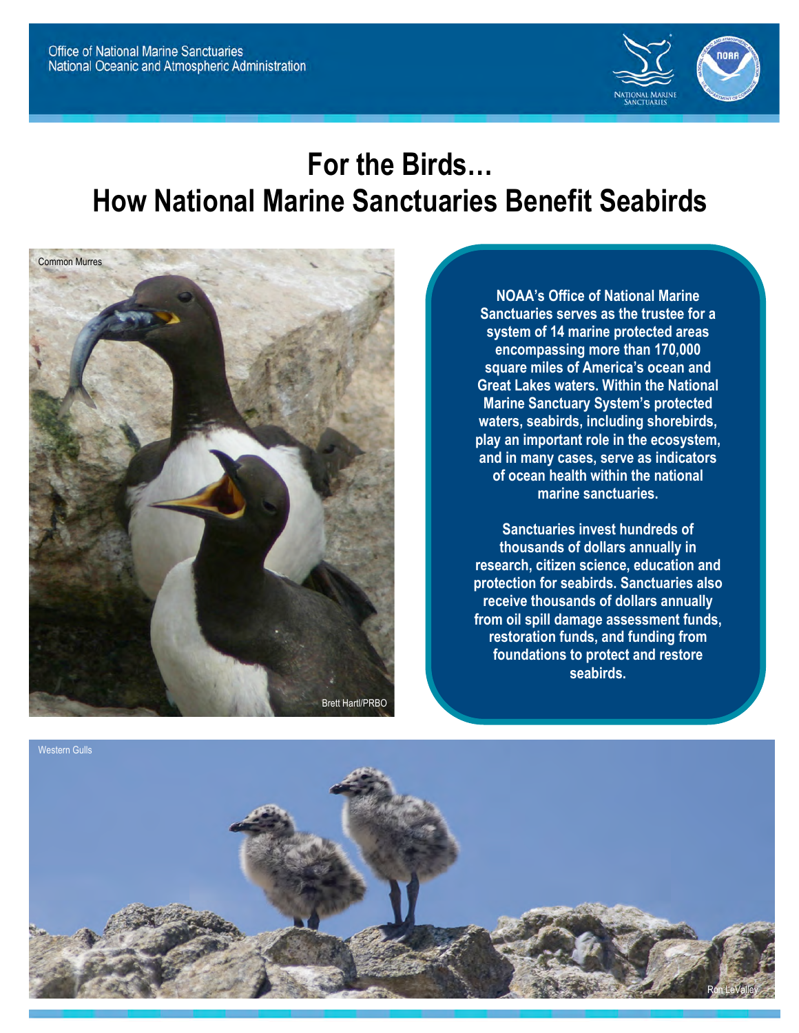

# **For the Birds… How National Marine Sanctuaries Benefit Seabirds**



**NOAA's Office of National Marine Sanctuaries serves as the trustee for a system of 14 marine protected areas encompassing more than 170,000 square miles of America's ocean and Great Lakes waters. Within the National Marine Sanctuary System's protected waters, seabirds, including shorebirds, play an important role in the ecosystem, and in many cases, serve as indicators of ocean health within the national marine sanctuaries.** 

**Sanctuaries invest hundreds of thousands of dollars annually in research, citizen science, education and protection for seabirds. Sanctuaries also receive thousands of dollars annually from oil spill damage assessment funds, restoration funds, and funding from foundations to protect and restore seabirds.**

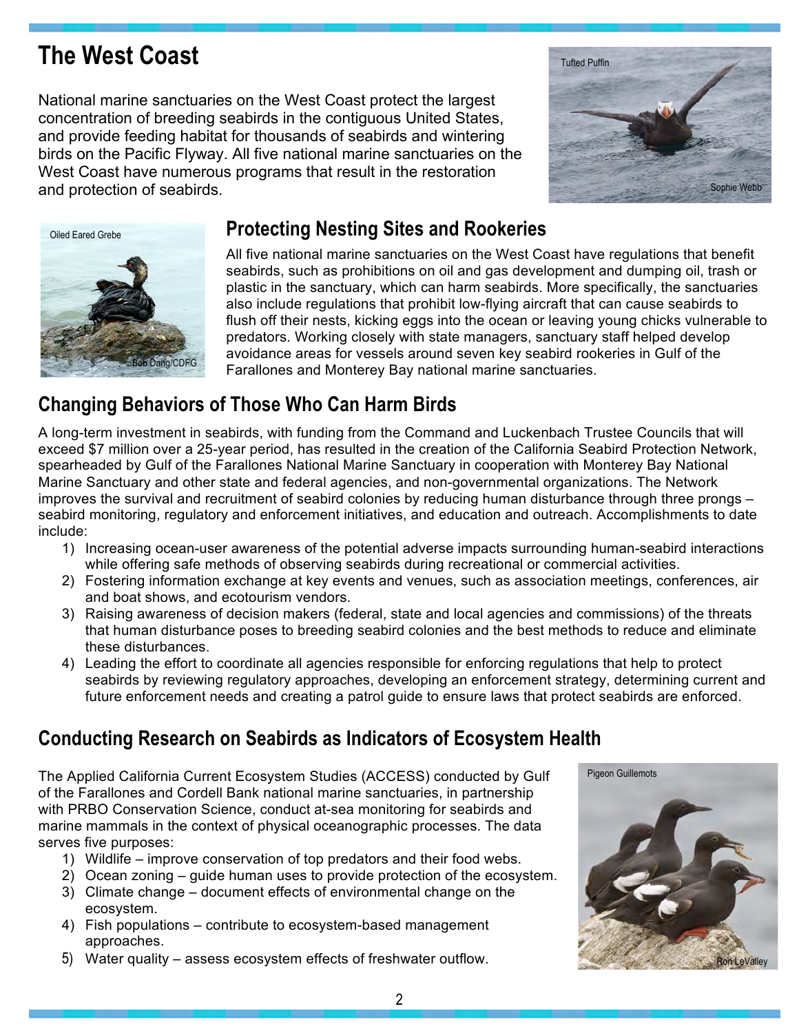# **The West Coast**

National marine sanctuaries on the West Coast protect the largest concentration of breeding seabirds in the contiguous United States, and provide feeding habitat for thousands of seabirds and wintering birds on the Pacific Flyway. All five national marine sanctuaries on the West Coast have numerous programs that result in the restoration and protection of seabirds.





#### **Protecting Nesting Sites and Rookeries**

All five national marine sanctuaries on the West Coast have regulations that benefit seabirds, such as prohibitions on oil and gas development and dumping oil, trash or plastic in the sanctuary, which can harm seabirds. More specifically, the sanctuaries also include regulations that prohibit low-flying aircraft that can cause seabirds to flush off their nests, kicking eggs into the ocean or leaving young chicks vulnerable to predators. Working closely with state managers, sanctuary staff helped develop avoidance areas for vessels around seven key seabird rookeries in Gulf of the Farallones and Monterey Bay national marine sanctuaries.

### **Changing Behaviors of Those Who Can Harm Birds**

A long-term investment in seabirds, with funding from the Command and Luckenbach Trustee Councils that will exceed \$7 million over a 25-year period, has resulted in the creation of the California Seabird Protection Network, spearheaded by Gulf of the Farallones National Marine Sanctuary in cooperation with Monterey Bay National Marine Sanctuary and other state and federal agencies, and non-governmental organizations. The Network improves the survival and recruitment of seabird colonies by reducing human disturbance through three prongs – seabird monitoring, regulatory and enforcement initiatives, and education and outreach. Accomplishments to date include:

- 1) Increasing ocean-user awareness of the potential adverse impacts surrounding human-seabird interactions while offering safe methods of observing seabirds during recreational or commercial activities.
- 2) Fostering information exchange at key events and venues, such as association meetings, conferences, air and boat shows, and ecotourism vendors.
- 3) Raising awareness of decision makers (federal, state and local agencies and commissions) of the threats that human disturbance poses to breeding seabird colonies and the best methods to reduce and eliminate these disturbances.
- 4) Leading the effort to coordinate all agencies responsible for enforcing regulations that help to protect seabirds by reviewing regulatory approaches, developing an enforcement strategy, determining current and future enforcement needs and creating a patrol guide to ensure laws that protect seabirds are enforced.

### **Conducting Research on Seabirds as Indicators of Ecosystem Health**

The Applied California Current Ecosystem Studies (ACCESS) conducted by Gulf of the Farallones and Cordell Bank national marine sanctuaries, in partnership with PRBO Conservation Science, conduct at-sea monitoring for seabirds and marine mammals in the context of physical oceanographic processes. The data serves five purposes:

- 1) Wildlife improve conservation of top predators and their food webs.
- 2) Ocean zoning guide human uses to provide protection of the ecosystem.
- 3) Climate change document effects of environmental change on the ecosystem.
- 4) Fish populations contribute to ecosystem-based management approaches.
- 5) Water quality assess ecosystem effects of freshwater outflow.

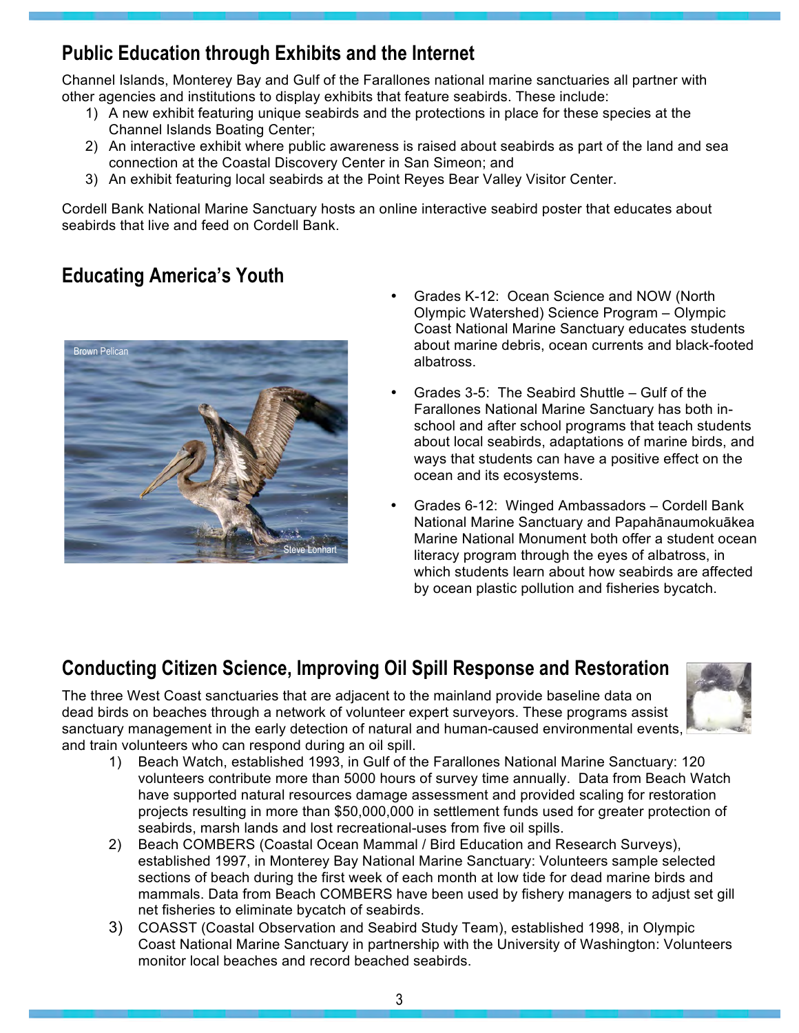#### **Public Education through Exhibits and the Internet**

Channel Islands, Monterey Bay and Gulf of the Farallones national marine sanctuaries all partner with other agencies and institutions to display exhibits that feature seabirds. These include:

- 1) A new exhibit featuring unique seabirds and the protections in place for these species at the Channel Islands Boating Center;
- 2) An interactive exhibit where public awareness is raised about seabirds as part of the land and sea connection at the Coastal Discovery Center in San Simeon; and
- 3) An exhibit featuring local seabirds at the Point Reyes Bear Valley Visitor Center.

Cordell Bank National Marine Sanctuary hosts an online interactive seabird poster that educates about seabirds that live and feed on Cordell Bank.

#### **Educating America's Youth**



- Grades K-12: Ocean Science and NOW (North Olympic Watershed) Science Program – Olympic Coast National Marine Sanctuary educates students about marine debris, ocean currents and black-footed albatross.
- Grades 3-5: The Seabird Shuttle Gulf of the Farallones National Marine Sanctuary has both inschool and after school programs that teach students about local seabirds, adaptations of marine birds, and ways that students can have a positive effect on the ocean and its ecosystems.
- Grades 6-12: Winged Ambassadors Cordell Bank National Marine Sanctuary and Papahānaumokuākea Marine National Monument both offer a student ocean literacy program through the eyes of albatross, in which students learn about how seabirds are affected by ocean plastic pollution and fisheries bycatch.

### **Conducting Citizen Science, Improving Oil Spill Response and Restoration**

The three West Coast sanctuaries that are adjacent to the mainland provide baseline data on dead birds on beaches through a network of volunteer expert surveyors. These programs assist sanctuary management in the early detection of natural and human-caused environmental events, and train volunteers who can respond during an oil spill.



- 1) Beach Watch, established 1993, in Gulf of the Farallones National Marine Sanctuary: 120 volunteers contribute more than 5000 hours of survey time annually. Data from Beach Watch have supported natural resources damage assessment and provided scaling for restoration projects resulting in more than \$50,000,000 in settlement funds used for greater protection of seabirds, marsh lands and lost recreational-uses from five oil spills.
- 2) Beach COMBERS (Coastal Ocean Mammal / Bird Education and Research Surveys), established 1997, in Monterey Bay National Marine Sanctuary: Volunteers sample selected sections of beach during the first week of each month at low tide for dead marine birds and mammals. Data from Beach COMBERS have been used by fishery managers to adjust set gill net fisheries to eliminate bycatch of seabirds.
- 3) COASST (Coastal Observation and Seabird Study Team), established 1998, in Olympic Coast National Marine Sanctuary in partnership with the University of Washington: Volunteers monitor local beaches and record beached seabirds.